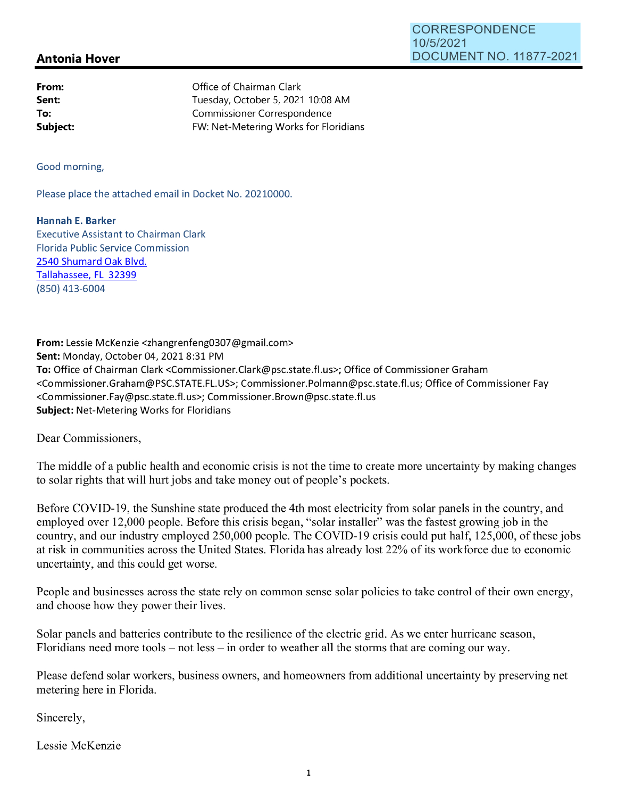## **Antonia Hover**

| From:    | Office of Chairman Clark              |
|----------|---------------------------------------|
| Sent:    | Tuesday, October 5, 2021 10:08 AM     |
| To:      | Commissioner Correspondence           |
| Subject: | FW: Net-Metering Works for Floridians |

Good morning,

Please place the attached email in Docket No. 20210000.

**Hannah E. Barker**  Executive Assistant to Chairman Clark Florida Public Service Commission 2540 Shumard Oak Blvd. Tallahassee, FL 32399 (850) 413-6004

**From:** Lessie McKenzie <zhangrenfeng0307@gmail.com> **Sent:** Monday, October 04, 20218:31 PM **To:** Office of Chairman Clark <Commissioner.Clark@psc.state.fl.us>; Office of Commissioner Graham <Commissioner.Graham@PSC.STATE.FL.US>; Commissioner.Polmann@psc.state.fl.us; Office of Commissioner Fay <Commissioner.Fay@psc.state.fl.us>; Commissioner.Brown@psc.state.fl.us **Subject:** Net-Metering Works for Floridians

Dear Commissioners,

The middle of a public health and economic crisis is not the time to create more uncertainty by making changes to solar rights that will hurt jobs and take money out of people's pockets.

Before COVID-19, the Sunshine state produced the 4th most electricity from solar panels in the country, and employed over 12,000 people. Before this crisis began, "solar installer" was the fastest growing job in the country, and our industry employed 250,000 people. The COVID-19 crisis could put half, 125,000, of these jobs at risk in communities across the United States. Florida has already lost 22% of its workforce due to economic uncertainty, and this could get worse.

People and businesses across the state rely on common sense solar policies to take control of their own energy, and choose how they power their lives.

Solar panels and batteries contribute to the resilience of the electric grid. As we enter hurricane season, Floridians need more tools – not less – in order to weather all the storms that are coming our way.

Please defend solar workers, business owners, and homeowners from additional uncertainty by preserving net metering here in Florida.

Sincerely,

Lessie McKenzie